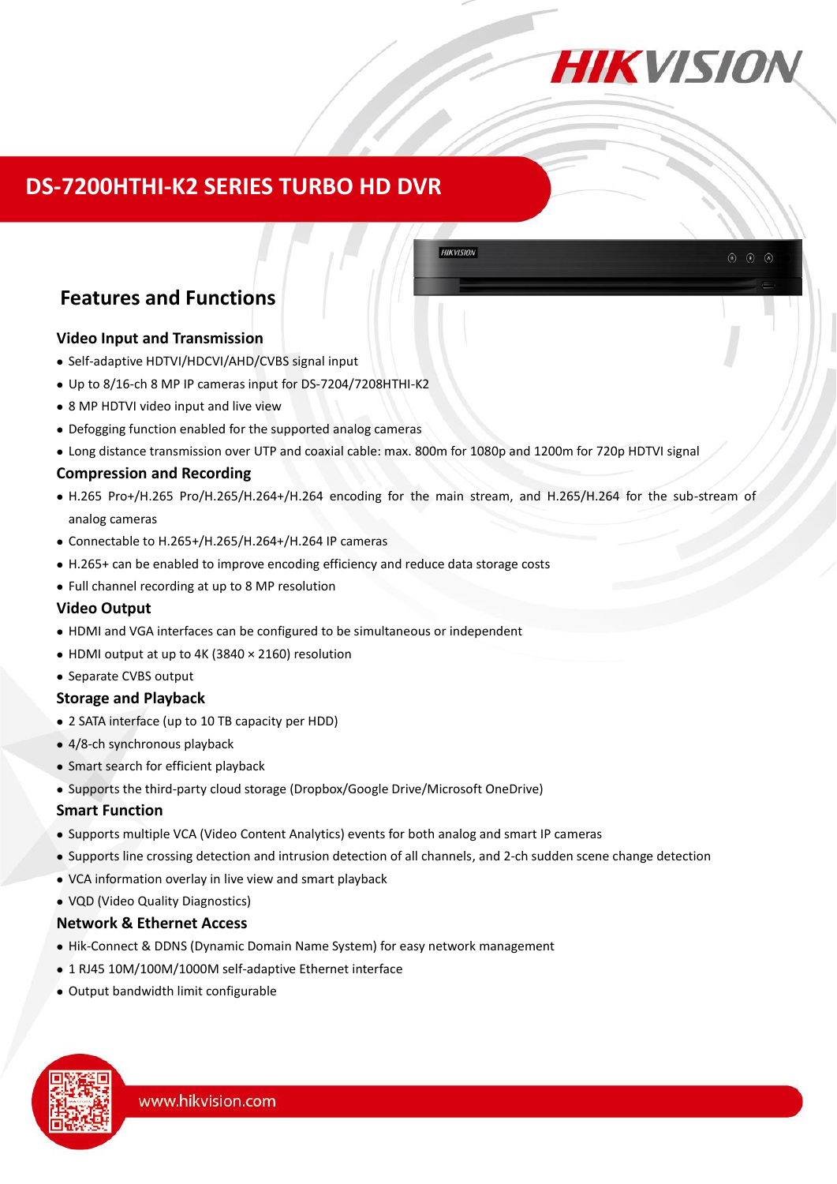

## **DS-7200HTHI-K2 SERIES TURBO HD DVR**

## **Features and Functions**

#### **Video Input and Transmission**

- Self-adaptive HDTVI/HDCVI/AHD/CVBS signal input
- Up to 8/16-ch 8 MP IP cameras input for DS-7204/7208HTHI-K2
- 8 MP HDTVI video input and live view
- Defogging function enabled for the supported analog cameras
- Long distance transmission over UTP and coaxial cable: max. 800m for 1080p and 1200m for 720p HDTVI signal

#### **Compression and Recording**

 H.265 Pro+/H.265 Pro/H.265/H.264+/H.264 encoding for the main stream, and H.265/H.264 for the sub-stream of analog cameras

**HIKVISION** 

- Connectable to H.265+/H.265/H.264+/H.264 IP cameras
- H.265+ can be enabled to improve encoding efficiency and reduce data storage costs
- Full channel recording at up to 8 MP resolution

#### **Video Output**

- HDMI and VGA interfaces can be configured to be simultaneous or independent
- HDMI output at up to 4K (3840 × 2160) resolution
- Separate CVBS output

#### **Storage and Playback**

- 2 SATA interface (up to 10 TB capacity per HDD)
- 4/8-ch synchronous playback
- Smart search for efficient playback
- Supports the third-party cloud storage (Dropbox/Google Drive/Microsoft OneDrive)

#### **Smart Function**

- Supports multiple VCA (Video Content Analytics) events for both analog and smart IP cameras
- Supports line crossing detection and intrusion detection of all channels, and 2-ch sudden scene change detection
- VCA information overlay in live view and smart playback
- VQD (Video Quality Diagnostics)

#### **Network & Ethernet Access**

- Hik-Connect & DDNS (Dynamic Domain Name System) for easy network management
- 1 RJ45 10M/100M/1000M self-adaptive Ethernet interface
- Output bandwidth limit configurable

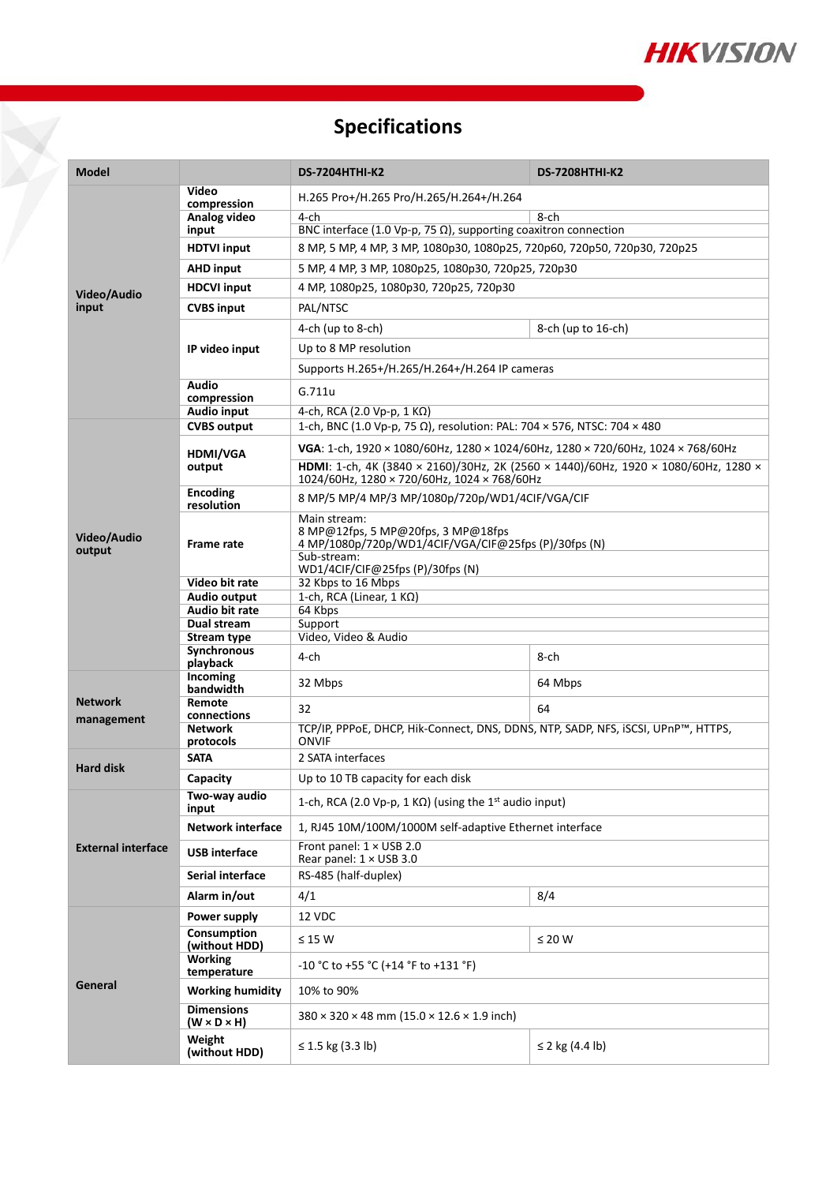

# **Specifications**

Ō

| <b>Model</b>              |                                                | <b>DS-7204HTHI-K2</b>                                                                                                                                                                                                | <b>DS-7208HTHI-K2</b>     |  |  |
|---------------------------|------------------------------------------------|----------------------------------------------------------------------------------------------------------------------------------------------------------------------------------------------------------------------|---------------------------|--|--|
|                           | Video                                          | H.265 Pro+/H.265 Pro/H.265/H.264+/H.264                                                                                                                                                                              |                           |  |  |
| Video/Audio<br>input      | compression<br>Analog video                    | 4-ch<br>8-ch                                                                                                                                                                                                         |                           |  |  |
|                           | input                                          | BNC interface (1.0 Vp-p, 75 $\Omega$ ), supporting coaxitron connection                                                                                                                                              |                           |  |  |
|                           | <b>HDTVI input</b>                             | 8 MP, 5 MP, 4 MP, 3 MP, 1080p30, 1080p25, 720p60, 720p50, 720p30, 720p25                                                                                                                                             |                           |  |  |
|                           | <b>AHD</b> input                               | 5 MP, 4 MP, 3 MP, 1080p25, 1080p30, 720p25, 720p30                                                                                                                                                                   |                           |  |  |
|                           | <b>HDCVI input</b>                             | 4 MP, 1080p25, 1080p30, 720p25, 720p30                                                                                                                                                                               |                           |  |  |
|                           | <b>CVBS input</b>                              | PAL/NTSC                                                                                                                                                                                                             |                           |  |  |
|                           | IP video input                                 | 4-ch (up to 8-ch)                                                                                                                                                                                                    | 8-ch (up to 16-ch)        |  |  |
|                           |                                                | Up to 8 MP resolution                                                                                                                                                                                                |                           |  |  |
|                           |                                                | Supports H.265+/H.265/H.264+/H.264 IP cameras                                                                                                                                                                        |                           |  |  |
|                           | <b>Audio</b><br>compression                    | G.711u                                                                                                                                                                                                               |                           |  |  |
|                           | <b>Audio input</b>                             | 4-ch, RCA (2.0 Vp-p, 1 KΩ)                                                                                                                                                                                           |                           |  |  |
|                           | <b>CVBS output</b>                             | 1-ch, BNC (1.0 Vp-p, 75 Ω), resolution: PAL: 704 × 576, NTSC: 704 × 480                                                                                                                                              |                           |  |  |
|                           | <b>HDMI/VGA</b><br>output                      | VGA: 1-ch, 1920 × 1080/60Hz, 1280 × 1024/60Hz, 1280 × 720/60Hz, 1024 × 768/60Hz<br>HDMI: 1-ch, 4K (3840 × 2160)/30Hz, 2K (2560 × 1440)/60Hz, 1920 × 1080/60Hz, 1280 ×<br>1024/60Hz, 1280 × 720/60Hz, 1024 × 768/60Hz |                           |  |  |
|                           | <b>Encoding</b><br>resolution                  | 8 MP/5 MP/4 MP/3 MP/1080p/720p/WD1/4CIF/VGA/CIF                                                                                                                                                                      |                           |  |  |
| Video/Audio<br>output     | Frame rate                                     | Main stream:<br>8 MP@12fps, 5 MP@20fps, 3 MP@18fps<br>4 MP/1080p/720p/WD1/4CIF/VGA/CIF@25fps (P)/30fps (N)<br>Sub-stream:<br>WD1/4CIF/CIF@25fps (P)/30fps (N)                                                        |                           |  |  |
|                           | Video bit rate                                 | 32 Kbps to 16 Mbps                                                                                                                                                                                                   |                           |  |  |
|                           | Audio output<br>Audio bit rate                 | 1-ch, RCA (Linear, 1 KΩ)<br>64 Kbps                                                                                                                                                                                  |                           |  |  |
|                           | Dual stream                                    | Support                                                                                                                                                                                                              |                           |  |  |
|                           | Stream type                                    | Video, Video & Audio                                                                                                                                                                                                 |                           |  |  |
|                           | Synchronous<br>playback                        | 4-ch                                                                                                                                                                                                                 | 8-ch                      |  |  |
|                           | Incoming<br>bandwidth                          | 32 Mbps                                                                                                                                                                                                              | 64 Mbps                   |  |  |
| <b>Network</b>            | Remote<br>connections                          | 32                                                                                                                                                                                                                   | 64                        |  |  |
| management                | <b>Network</b><br>protocols                    | TCP/IP, PPPoE, DHCP, Hik-Connect, DNS, DDNS, NTP, SADP, NFS, iSCSI, UPnP™, HTTPS,<br><b>ONVIF</b>                                                                                                                    |                           |  |  |
| <b>Hard disk</b>          | <b>SATA</b>                                    | 2 SATA interfaces                                                                                                                                                                                                    |                           |  |  |
|                           | Capacity<br>Up to 10 TB capacity for each disk |                                                                                                                                                                                                                      |                           |  |  |
| <b>External interface</b> | Two-way audio<br>input                         | 1-ch, RCA (2.0 Vp-p, 1 K $\Omega$ ) (using the 1 <sup>st</sup> audio input)                                                                                                                                          |                           |  |  |
|                           | <b>Network interface</b>                       | 1, RJ45 10M/100M/1000M self-adaptive Ethernet interface                                                                                                                                                              |                           |  |  |
|                           | <b>USB</b> interface                           | Front panel: 1 × USB 2.0<br>Rear panel: 1 × USB 3.0                                                                                                                                                                  |                           |  |  |
|                           | Serial interface                               | RS-485 (half-duplex)                                                                                                                                                                                                 |                           |  |  |
|                           | Alarm in/out                                   | 4/1                                                                                                                                                                                                                  | 8/4                       |  |  |
|                           | Power supply                                   | 12 VDC                                                                                                                                                                                                               |                           |  |  |
| General                   | Consumption<br>(without HDD)                   | $\leq 15$ W                                                                                                                                                                                                          | $\leq 20$ W               |  |  |
|                           | <b>Working</b><br>temperature                  | -10 °C to +55 °C (+14 °F to +131 °F)                                                                                                                                                                                 |                           |  |  |
|                           | <b>Working humidity</b>                        | 10% to 90%                                                                                                                                                                                                           |                           |  |  |
|                           | <b>Dimensions</b><br>$(W \times D \times H)$   | $380 \times 320 \times 48$ mm (15.0 $\times$ 12.6 $\times$ 1.9 inch)                                                                                                                                                 |                           |  |  |
|                           | Weight<br>(without HDD)                        | ≤ 1.5 kg $(3.3 \text{ lb})$                                                                                                                                                                                          | ≤ 2 kg $(4.4 \text{ lb})$ |  |  |